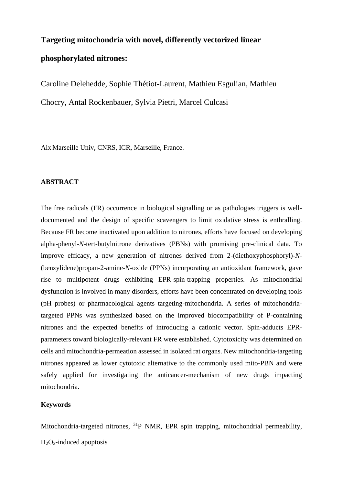# **Targeting mitochondria with novel, differently vectorized linear phosphorylated nitrones:**

Caroline Delehedde, Sophie Thétiot-Laurent, Mathieu Esgulian, Mathieu Chocry, Antal Rockenbauer, Sylvia Pietri, Marcel Culcasi

Aix Marseille Univ, CNRS, ICR, Marseille, France.

## **ABSTRACT**

The free radicals (FR) occurrence in biological signalling or as pathologies triggers is welldocumented and the design of specific scavengers to limit oxidative stress is enthralling. Because FR become inactivated upon addition to nitrones, efforts have focused on developing alpha-phenyl-*N*-tert-butylnitrone derivatives (PBNs) with promising pre-clinical data. To improve efficacy, a new generation of nitrones derived from 2-(diethoxyphosphoryl)-*N*- (benzylidene)propan-2-amine-*N*-oxide (PPNs) incorporating an antioxidant framework, gave rise to multipotent drugs exhibiting EPR-spin-trapping properties. As mitochondrial dysfunction is involved in many disorders, efforts have been concentrated on developing tools (pH probes) or pharmacological agents targeting-mitochondria. A series of mitochondriatargeted PPNs was synthesized based on the improved biocompatibility of P-containing nitrones and the expected benefits of introducing a cationic vector. Spin-adducts EPRparameters toward biologically-relevant FR were established. Cytotoxicity was determined on cells and mitochondria-permeation assessed in isolated rat organs. New mitochondria-targeting nitrones appeared as lower cytotoxic alternative to the commonly used mito-PBN and were safely applied for investigating the anticancer-mechanism of new drugs impacting mitochondria.

## **Keywords**

Mitochondria-targeted nitrones, <sup>31</sup>P NMR, EPR spin trapping, mitochondrial permeability,

 $H<sub>2</sub>O<sub>2</sub>$ -induced apoptosis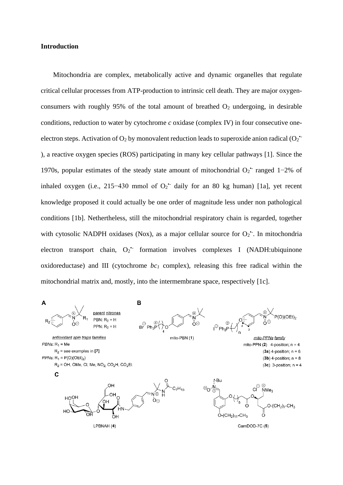#### **Introduction**

Mitochondria are complex, metabolically active and dynamic organelles that regulate critical cellular processes from ATP-production to intrinsic cell death. They are major oxygenconsumers with roughly 95% of the total amount of breathed O<sub>2</sub> undergoing, in desirable conditions, reduction to water by cytochrome *c* oxidase (complex IV) in four consecutive oneelectron steps. Activation of  $O_2$  by monovalent reduction leads to superoxide anion radical ( $O_2$ <sup>+</sup> ), a reactive oxygen species (ROS) participating in many key cellular pathways [1]. Since the 1970s, popular estimates of the steady state amount of mitochondrial O<sub>2</sub><sup>+</sup> ranged 1-2% of inhaled oxygen (i.e., 215–430 mmol of  $O_2$ <sup>+</sup> daily for an 80 kg human) [1a], yet recent knowledge proposed it could actually be one order of magnitude less under non pathological conditions [1b]. Nethertheless, still the mitochondrial respiratory chain is regarded, together with cytosolic NADPH oxidases (Nox), as a major cellular source for  $O_2$ . In mitochondria electron transport chain,  $O_2$ <sup>\*</sup> formation involves complexes I (NADH:ubiquinone oxidoreductase) and III (cytochrome *bc<sup>1</sup>* complex), releasing this free radical within the mitochondrial matrix and, mostly, into the intermembrane space, respectively [1c].

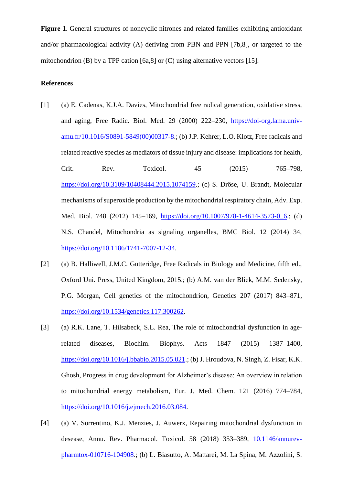**Figure 1**. General structures of noncyclic nitrones and related families exhibiting antioxidant and/or pharmacological activity (A) deriving from PBN and PPN [7b,8], or targeted to the mitochondrion (B) by a TPP cation [6a,8] or (C) using alternative vectors [15].

### **References**

- [1] (a) E. Cadenas, K.J.A. Davies, Mitochondrial free radical generation, oxidative stress, and aging, Free Radic. Biol. Med. 29 (2000) 222–230, [https://doi-org.lama.univ](https://doi-org.lama.univ-amu.fr/10.1016/S0891-5849(00)00317-8)[amu.fr/10.1016/S0891-5849\(00\)00317-8.](https://doi-org.lama.univ-amu.fr/10.1016/S0891-5849(00)00317-8); (b) J.P. Kehrer, L.O. Klotz, Free radicals and related reactive species as mediators of tissue injury and disease: implications for health, Crit. Rev. Toxicol. 45 (2015) 765–798, [https://doi.org/10.3109/10408444.2015.1074159.](https://doi.org/10.3109/10408444.2015.1074159); (c) S. Dröse, U. Brandt, Molecular mechanisms of superoxide production by the mitochondrial respiratory chain, Adv. Exp. Med. Biol. 748 (2012) 145–169, https://doi.org/10.1007/978-1-4614-3573-0 6.; (d) N.S. Chandel, Mitochondria as signaling organelles, BMC Biol. 12 (2014) 34, [https://doi.org/10.1186/1741-7007-12-34.](https://doi.org/10.1186/1741-7007-12-34)
- [2] (a) B. Halliwell, J.M.C. Gutteridge, Free Radicals in Biology and Medicine, fifth ed., Oxford Uni. Press, United Kingdom, 2015.; (b) A.M. van der Bliek, M.M. Sedensky, P.G. Morgan, Cell genetics of the mitochondrion, Genetics 207 (2017) 843–871, [https://doi.org/10.1534/genetics.117.300262.](https://doi.org/10.1534/genetics.117.300262)
- [3] (a) R.K. Lane, T. Hilsabeck, S.L. Rea, The role of mitochondrial dysfunction in agerelated diseases, Biochim. Biophys. Acts 1847 (2015) 1387–1400, [https://doi.org/10.1016/j.bbabio.2015.05.021.](https://doi.org/10.1016/j.bbabio.2015.05.021); (b) J. Hroudova, N. Singh, Z. Fisar, K.K. Ghosh, Progress in drug development for Alzheimer's disease: An overview in relation to mitochondrial energy metabolism, Eur. J. Med. Chem. 121 (2016) 774–784, [https://doi.org/10.1016/j.ejmech.2016.03.084.](https://doi.org/10.1016/j.ejmech.2016.03.084)
- [4] (a) V. Sorrentino, K.J. Menzies, J. Auwerx, Repairing mitochondrial dysfunction in desease, Annu. Rev. Pharmacol. Toxicol. 58 (2018) 353–389, [10.1146/annurev](file:///C:/Users/SMBSO/Desktop/10.1146/annurev-pharmtox-010716-104908)[pharmtox-010716-104908.](file:///C:/Users/SMBSO/Desktop/10.1146/annurev-pharmtox-010716-104908); (b) L. Biasutto, A. Mattarei, M. La Spina, M. Azzolini, S.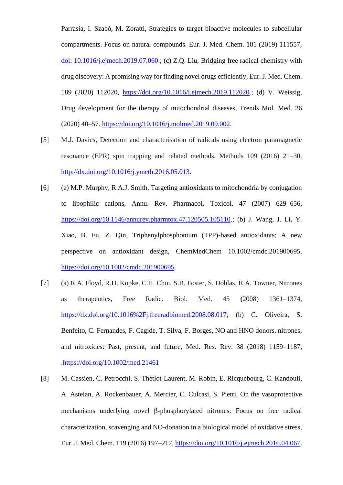Parrasia, I. Szabò, M. Zoratti, Strategies to target bioactive molecules to subcellular compartments. Focus on natural compounds. Eur. J. Med. Chem. 181 (2019) 111557, [doi: 10.1016/j.ejmech.2019.07.060.](https://doi.org/10.1016/j.ejmech.2019.07.060); (c) Z.Q. Liu, Bridging free radical chemistry with drug discovery: A promising way for finding novel drugs efficiently, Eur. J. Med. Chem. 189 (2020) 112020, [https://doi.org/10.1016/j.ejmech.2019.112020.](https://doi.org/10.1016/j.ejmech.2019.112020); (d) V. Weissig, Drug development for the therapy of mitochondrial diseases, Trends Mol. Med. 26 (2020) 40–57. [https://doi.org/10.1016/j.molmed.2019.09.002.](https://doi.org/10.1016/j.molmed.2019.09.002)

- [5] M.J. Davies, Detection and characterisation of radicals using electron paramagnetic resonance (EPR) spin trapping and related methods, Methods 109 (2016) 21–30, [http://dx.doi.org/10.1016/j.ymeth.2016.05.013.](http://dx.doi.org/10.1016/j.ymeth.2016.05.013)
- [6] (a) M.P. Murphy, R.A.J. Smith, Targeting antioxidants to mitochondria by conjugation to lipophilic cations, Annu. Rev. Pharmacol. Toxicol. 47 (2007) 629–656, [https://doi.org/10.1146/annurev.pharmtox.47.120505.105110.](https://doi.org/10.1146/annurev.pharmtox.47.120505.105110); (b) J. Wang, J. Li, Y. Xiao, B. Fu, Z. Qin, Triphenylphosphonium (TPP)-based antioxidants: A new perspective on antioxidant design, ChemMedChem 10.1002/cmdc.201900695, [https://doi.org/10.1002/cmdc.201900695.](https://doi.org/10.1002/cmdc.201900695)
- [7] (a) R.A. Floyd, R.D. Kopke, C.H. Choi, S.B. Foster, S. Doblas, R.A. Towner, Nitrones as therapeutics, Free Radic. Biol. Med. 45 **(**2008) 1361–1374, [https://dx.doi.org/10.1016%2Fj.freeradbiomed.2008.08.017;](https://dx.doi.org/10.1016%2Fj.freeradbiomed.2008.08.017) (b) C. Oliveira, S. Benfeito, C. Fernandes, F. Cagide, T. Silva, F. Borges, NO and HNO donors, nitrones, and nitroxides: Past, present, and future, Med. Res. Rev. 38 (2018) 1159–1187, [.https://doi.org/10.1002/med.21461](https://doi.org/10.1002/med.21461)
- [8] M. Cassien, C. Petrocchi, S. Thétiot-Laurent, M. Robin, E. Ricquebourg, C. Kandouli, A. Asteian, A. Rockenbauer, A. Mercier, C. Culcasi, S. Pietri, On the vasoprotective mechanisms underlying novel  $\beta$ -phosphorylated nitrones: Focus on free radical characterization, scavenging and NO-donation in a biological model of oxidative stress, Eur. J. Med. Chem. 119 (2016) 197–217, [https://doi.org/10.1016/j.ejmech.2016.04.067.](https://doi.org/10.1016/j.ejmech.2016.04.067)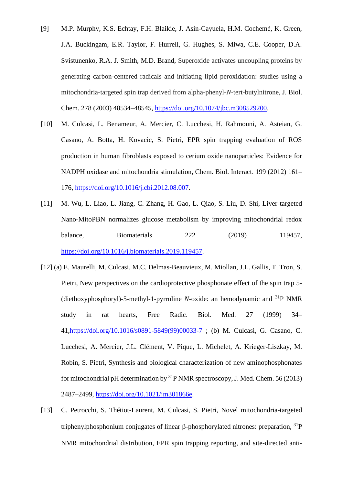- [9] M.P. Murphy, K.S. Echtay, F.H. Blaikie, J. Asin-Cayuela, H.M. Cochemé, K. Green, J.A. Buckingam, E.R. Taylor, F. Hurrell, G. Hughes, S. Miwa, C.E. Cooper, D.A. Svistunenko, R.A. J. Smith, M.D. Brand, Superoxide activates uncoupling proteins by generating carbon-centered radicals and initiating lipid peroxidation: studies using a mitochondria-targeted spin trap derived from alpha-phenyl-*N*-tert-butylnitrone, J. Biol. Chem. 278 (2003) 48534–48545, [https://doi.org/10.1074/jbc.m308529200.](https://doi.org/10.1074/jbc.m308529200)
- [10] M. Culcasi, L. Benameur, A. Mercier, C. Lucchesi, H. Rahmouni, A. Asteian, G. Casano, A. Botta, H. Kovacic, S. Pietri, EPR spin trapping evaluation of ROS production in human fibroblasts exposed to cerium oxide nanoparticles: Evidence for NADPH oxidase and mitochondria stimulation, Chem. Biol. Interact. 199 (2012) 161– 176, [https://doi.org/10.1016/j.cbi.2012.08.007.](https://doi.org/10.1016/j.cbi.2012.08.007)
- [11] M. Wu, L. Liao, L. Jiang, C. Zhang, H. Gao, L. Qiao, S. Liu, D. Shi, Liver-targeted Nano-MitoPBN normalizes glucose metabolism by improving mitochondrial redox balance, Biomaterials 222 (2019) 119457, [https://doi.org/10.1016/j.biomaterials.2019.119457.](https://doi.org/10.1016/j.biomaterials.2019.119457)
- [12] (a) E. Maurelli, M. Culcasi, M.C. Delmas-Beauvieux, M. Miollan, J.L. Gallis, T. Tron, S. Pietri, New perspectives on the cardioprotective phosphonate effect of the spin trap 5- (diethoxyphosphoryl)-5-methyl-1-pyrroline *N*-oxide: an hemodynamic and <sup>31</sup>P NMR study in rat hearts, Free Radic. Biol. Med. 27 (1999) 34– 41[,https://doi.org/10.1016/s0891-5849\(99\)00033-7](https://doi.org/10.1016/s0891-5849(99)00033-7) ; (b) M. Culcasi, G. Casano, C. Lucchesi, A. Mercier, J.L. Clément, V. Pique, L. Michelet, A. Krieger-Liszkay, M. Robin, S. Pietri, Synthesis and biological characterization of new aminophosphonates for mitochondrial pH determination by  ${}^{31}P$  NMR spectroscopy, J. Med. Chem. 56 (2013) 2487–2499, [https://doi.org/10.1021/jm301866e.](https://doi.org/10.1021/jm301866e)
- [13] C. Petrocchi, S. Thétiot-Laurent, M. Culcasi, S. Pietri, Novel mitochondria-targeted triphenylphosphonium conjugates of linear  $\beta$ -phosphorylated nitrones: preparation,  $^{31}P$ NMR mitochondrial distribution, EPR spin trapping reporting, and site-directed anti-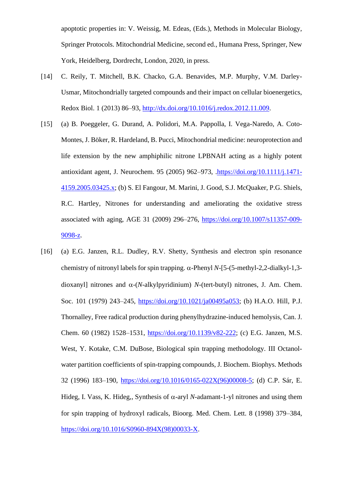apoptotic properties in: V. Weissig, M. Edeas, (Eds.), Methods in Molecular Biology, Springer Protocols. Mitochondrial Medicine, second ed., Humana Press, Springer, New York, Heidelberg, Dordrecht, London, 2020, in press.

- [14] C. Reily, T. Mitchell, B.K. Chacko, G.A. Benavides, M.P. Murphy, V.M. Darley-Usmar, Mitochondrially targeted compounds and their impact on cellular bioenergetics, Redox Biol. 1 (2013) 86–93, [http://dx.doi.org/10.1016/j.redox.2012.11.009.](http://dx.doi.org/10.1016/j.redox.2012.11.009)
- [15] (a) B. Poeggeler, G. Durand, A. Polidori, M.A. Pappolla, I. Vega-Naredo, A. Coto-Montes, J. Böker, R. Hardeland, B. Pucci, Mitochondrial medicine: neuroprotection and life extension by the new amphiphilic nitrone LPBNAH acting as a highly potent antioxidant agent, J. Neurochem. 95 (2005) 962–973, [.https://doi.org/10.1111/j.1471-](https://doi.org/10.1111/j.1471-4159.2005.03425.x) [4159.2005.03425.x;](https://doi.org/10.1111/j.1471-4159.2005.03425.x) (b) S. El Fangour, M. Marini, J. Good, S.J. McQuaker, P.G. Shiels, R.C. Hartley, Nitrones for understanding and ameliorating the oxidative stress associated with aging, AGE 31 (2009) 296–276, [https://doi.org/10.1007/s11357-009-](https://doi.org/10.1007/s11357-009-9098-z) [9098-z.](https://doi.org/10.1007/s11357-009-9098-z)
- [16] (a) E.G. Janzen, R.L. Dudley, R.V. Shetty, Synthesis and electron spin resonance chemistry of nitronyl labels for spin trapping.  $\alpha$ -Phenyl *N*-[5-(5-methyl-2,2-dialkyl-1,3dioxanyl] nitrones and  $\alpha$ -(*N*-alkylpyridinium) *N*-(tert-butyl) nitrones, J. Am. Chem. Soc. 101 (1979) 243–245, [https://doi.org/10.1021/ja00495a053;](https://doi.org/10.1021/ja00495a053) (b) H.A.O. Hill, P.J. Thornalley, Free radical production during phenylhydrazine-induced hemolysis, Can. J. Chem. 60 (1982) 1528–1531, [https://doi.org/10.1139/v82-222;](https://doi.org/10.1139/v82-222) (c) E.G. Janzen, M.S. West, Y. Kotake, C.M. DuBose, Biological spin trapping methodology. III Octanolwater partition coefficients of spin-trapping compounds, J. Biochem. Biophys. Methods 32 (1996) 183–190, [https://doi.org/10.1016/0165-022X\(96\)00008-5;](https://doi.org/10.1016/0165-022X(96)00008-5) (d) C.P. Sár, E. Hideg, I. Vass, K. Hideg,, Synthesis of  $\alpha$ -aryl *N*-adamant-1-yl nitrones and using them for spin trapping of hydroxyl radicals, Bioorg. Med. Chem. Lett. 8 (1998) 379–384, [https://doi.org/10.1016/S0960-894X\(98\)00033-X.](https://doi.org/10.1016/S0960-894X(98)00033-X)